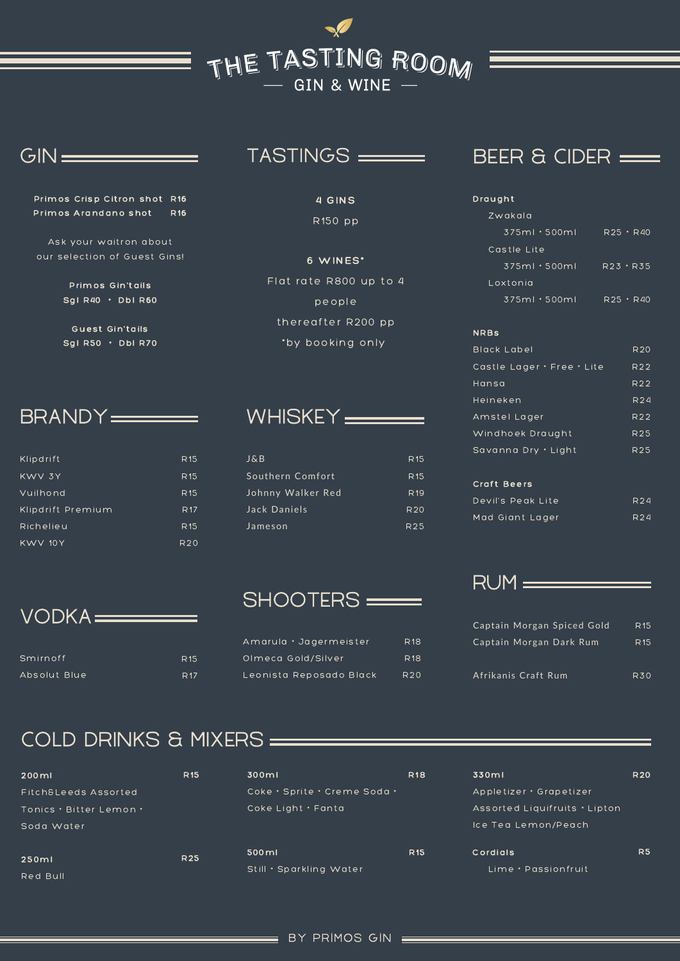## THE TASTING ROOM

#### $GN =$

Primos Crisp Citron shot R16 Primos Arandano shot R16

Ask your waitron about our selection of Guest Gins!

> Primos Gin'tails Sgl R40 ・ Dbl R60

> **Guest Gin'tails** Sgl R50 ・ Dbl R70

## BRANDY<del>\_\_\_\_\_\_\_</del>

VODKA

Smirnoff Absolut Blue

| Klipdrift         | <b>R15</b> |
|-------------------|------------|
| KWV 3Y            | <b>R15</b> |
| Vuilhond          | <b>R15</b> |
| Klipdrift Premium | <b>R17</b> |
| Richelieu         | <b>R15</b> |
| KWV 10Y           | <b>R20</b> |

### TASTINGS

#### 4 GINS R150 pp

6 WINES\* Flat rate R800 up to 4 people thereafter R200 pp \*by booking only

## WHISKEY

| J & B             | R <sub>15</sub> |
|-------------------|-----------------|
| Southern Comfort  | R <sub>15</sub> |
| Johnny Walker Red | R <sub>19</sub> |
| Jack Daniels      | R20             |
| Jameson           | R <sub>25</sub> |

## SHOOTERS =

| Amarula · Jagermeister  | R <sub>18</sub> |
|-------------------------|-----------------|
| Olmeca Gold/Silver      | R <sub>18</sub> |
| Leonista Reposado Black | R <sub>20</sub> |

## BEER & CIDER

| Draught             |                 |
|---------------------|-----------------|
| Zwakala             |                 |
| $375ml \cdot 500ml$ | R25 · R40       |
| Castle Lite         |                 |
| $375ml \cdot 500ml$ | $R23 \cdot R35$ |
| Loxtonia            |                 |
| $375ml \cdot 500ml$ | R25 · R40       |

#### NRBs

| Black Label                | R <sub>20</sub> |
|----------------------------|-----------------|
| Castle Lager • Free • Lite | R22             |
| Hansa                      | R <sub>22</sub> |
| Heineken                   | R24             |
| Amstel Lager               | R22             |
| Windhoek Draught           | R <sub>25</sub> |
| Savanna Dry • Light        | R <sub>25</sub> |

#### Craft Beers

| Devil's Peak Lite | R <sub>24</sub> |
|-------------------|-----------------|
| Mad Giant Lager   | R <sub>24</sub> |

### RUM

| Captain Morgan Spiced Gold | R <sub>15</sub> |
|----------------------------|-----------------|
| Captain Morgan Dark Rum    | R <sub>15</sub> |
|                            |                 |
| Afrikanis Craft Rum        | R30             |

## COLD DRINKS & MIXERS

R15 R17

| $200$ ml                | <b>R15</b> | 300ml                            | <b>R18</b> | 330ml                           | <b>R20</b>     |
|-------------------------|------------|----------------------------------|------------|---------------------------------|----------------|
| Fitch&Leeds Assorted    |            | Coke · Sprite · Creme Soda ·     |            | Appletizer • Grapetizer         |                |
| Tonics • Bitter Lemon • |            | Coke Light $\cdot$ Fanta         |            | Assorted Liquifruits • Lipton   |                |
| Soda Water              |            |                                  |            | Ice Tea Lemon/Peach             |                |
| 250ml<br>Red Bull       | <b>R25</b> | 500ml<br>Still • Sparkling Water | <b>R15</b> | Cordials<br>Lime · Passionfruit | R <sub>5</sub> |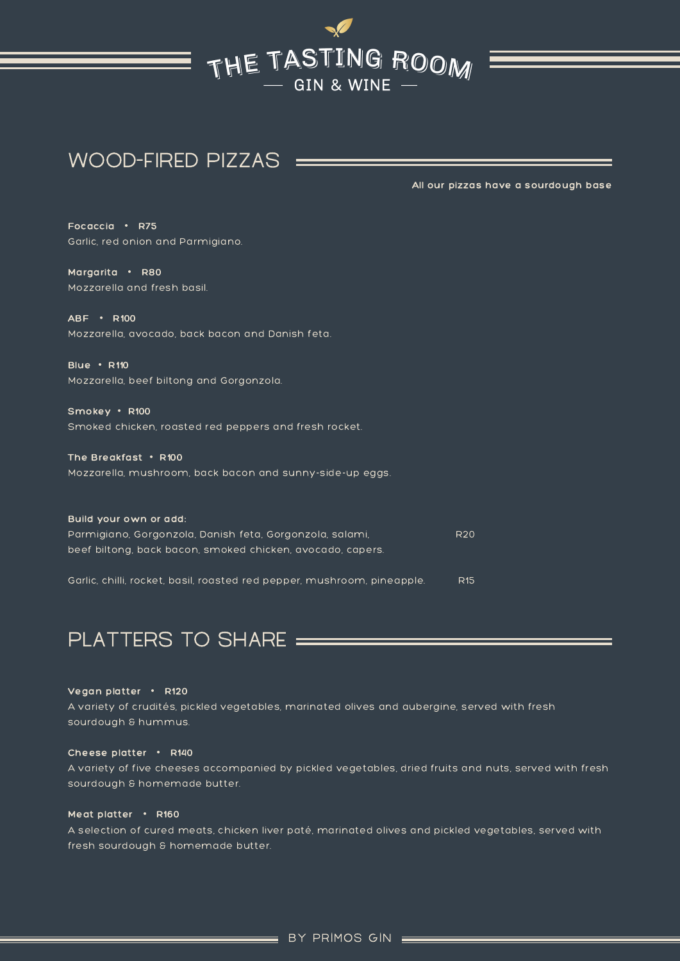# THE TASTING ROOM

## WOOD-FIRED PIZZAS

All our pizzas have a sourdough base

Focaccia ・ R75 Garlic, red onion and Parmigiano.

Margarita ・ R80 Mozzarella and fresh basil.

ABF ・ R100 Mozzarella, avocado, back bacon and Danish feta.

Blue ・ R110 Mozzarella, beef biltong and Gorgonzola.

Smokey ・ R100 Smoked chicken, roasted red peppers and fresh rocket.

The Breakfast ・ R100 Mozzarella, mushroom, back bacon and sunny-side-up eggs.

Build your own or add: Parmigiano, Gorgonzola, Danish feta, Gorgonzola, salami, beef biltong, back bacon, smoked chicken, avocado, capers. Garlic, chilli, rocket, basil, roasted red pepper, mushroom, pineapple. R20 R15

## PLATTERS TO SHARE

Vegan platter ・ R120

A variety of crudités, pickled vegetables, marinated olives and aubergine, served with fresh sourdough & hummus.

#### Cheese platter ・ R140

A variety of five cheeses accompanied by pickled vegetables, dried fruits and nuts, served with fresh sourdough & homemade butter.

#### Meat platter • R160

A selection of cured meats, chicken liver paté, marinated olives and pickled vegetables, served with fresh sourdough & homemade butter.